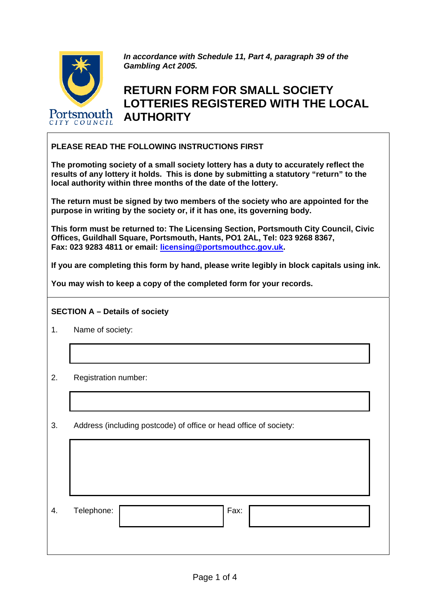

*In accordance with Schedule 11, Part 4, paragraph 39 of the Gambling Act 2005.* 

## **RETURN FORM FOR SMALL SOCIETY LOTTERIES REGISTERED WITH THE LOCAL AUTHORITY**

## **PLEASE READ THE FOLLOWING INSTRUCTIONS FIRST**

**The promoting society of a small society lottery has a duty to accurately reflect the results of any lottery it holds. This is done by submitting a statutory "return" to the local authority within three months of the date of the lottery.** 

**The return must be signed by two members of the society who are appointed for the purpose in writing by the society or, if it has one, its governing body.** 

**This form must be returned to: The Licensing Section, Portsmouth City Council, Civic Offices, Guildhall Square, Portsmouth, Hants, PO1 2AL, Tel: 023 9268 8367, Fax: 023 9283 4811 or email: [licensing@portsmouthcc.gov.uk](mailto:licensing@portsmouthcc.gov.uk).** 

**If you are completing this form by hand, please write legibly in block capitals using ink.** 

**You may wish to keep a copy of the completed form for your records.** 

## **SECTION A – Details of society**

- 1. Name of society:
- 2. Registration number:
- 3. Address (including postcode) of office or head office of society:

| 4. | Telephone: | Fax: |  |
|----|------------|------|--|
|    |            |      |  |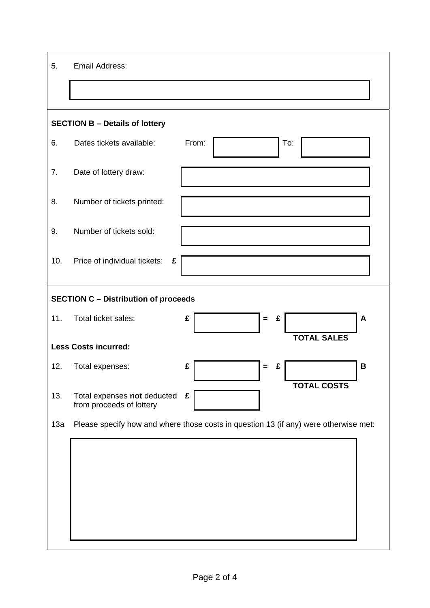| 5.                                          | Email Address:                                          |                                                                                      |  |  |  |  |
|---------------------------------------------|---------------------------------------------------------|--------------------------------------------------------------------------------------|--|--|--|--|
|                                             |                                                         |                                                                                      |  |  |  |  |
| <b>SECTION B - Details of lottery</b>       |                                                         |                                                                                      |  |  |  |  |
| 6.                                          | Dates tickets available:                                | From:<br>To:                                                                         |  |  |  |  |
| 7.                                          | Date of lottery draw:                                   |                                                                                      |  |  |  |  |
| 8.                                          | Number of tickets printed:                              |                                                                                      |  |  |  |  |
| 9.                                          | Number of tickets sold:                                 |                                                                                      |  |  |  |  |
| 10.                                         | Price of individual tickets:<br>£                       |                                                                                      |  |  |  |  |
| <b>SECTION C - Distribution of proceeds</b> |                                                         |                                                                                      |  |  |  |  |
| 11.                                         | Total ticket sales:                                     | £<br>£<br>A<br>$=$                                                                   |  |  |  |  |
|                                             | <b>Less Costs incurred:</b>                             | <b>TOTAL SALES</b>                                                                   |  |  |  |  |
| 12.                                         | Total expenses:                                         | £<br>В<br>£<br>$\equiv$                                                              |  |  |  |  |
| 13.                                         | Total expenses not deducted<br>from proceeds of lottery | <b>TOTAL COSTS</b><br>£                                                              |  |  |  |  |
| 13a                                         |                                                         | Please specify how and where those costs in question 13 (if any) were otherwise met: |  |  |  |  |
|                                             |                                                         |                                                                                      |  |  |  |  |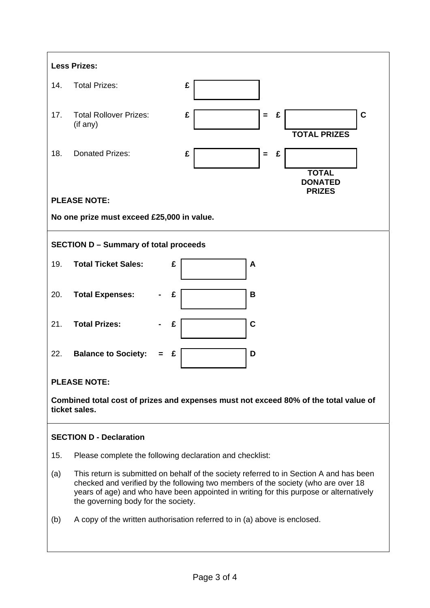